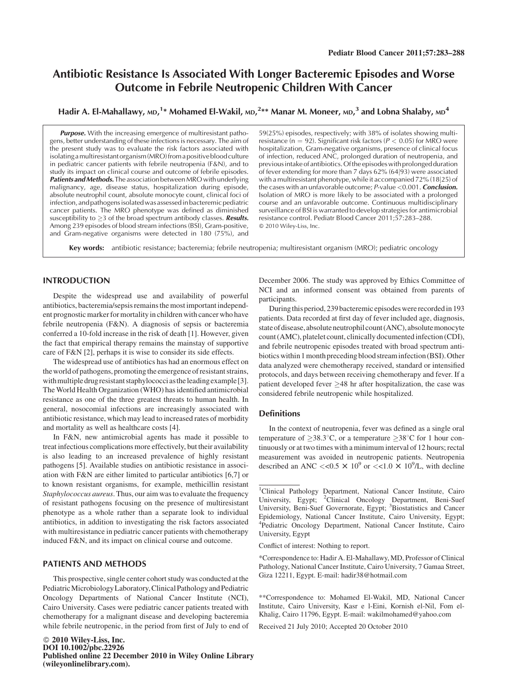# Antibiotic Resistance Is Associated With Longer Bacteremic Episodes and Worse Outcome in Febrile Neutropenic Children With Cancer

Hadir A. El-Mahallawy, мd, <sup>1</sup>\* Mohamed El-Wakil, мd, <sup>2</sup>\*\* Manar M. Moneer, мd, <sup>3</sup> and Lobna Shalaby, мd <sup>4</sup>

Purpose. With the increasing emergence of multiresistant pathogens, better understanding of these infections is necessary. The aim of the present study was to evaluate the risk factors associated with isolating a multiresistant organism (MRO) from a positive blood culture in pediatric cancer patients with febrile neutropenia (F&N), and to study its impact on clinical course and outcome of febrile episodes. Patients and Methods. The association between MRO with underlying malignancy, age, disease status, hospitalization during episode, absolute neutrophil count, absolute monocyte count, clinical foci of infection, and pathogensisolated was assessedin bacteremic pediatric cancer patients. The MRO phenotype was defined as diminished susceptibility to  $\geq$ 3 of the broad spectrum antibody classes. **Results.** Among 239 episodes of blood stream infections (BSI), Gram-positive, and Gram-negative organisms were detected in 180 (75%), and

59(25%) episodes, respectively; with 38% of isolates showing multiresistance (n = 92). Significant risk factors ( $P < 0.05$ ) for MRO were hospitalization, Gram-negative organisms, presence of clinical focus of infection, reduced ANC, prolonged duration of neutropenia, and previousintake of antibiotics.Ofthe episodeswith prolonged duration of fever extending for more than 7 days 62% (64j93) were associated with a multiresistant phenotype, while it accompanied 72% (18|25) of the cases with an unfavorable outcome;  $P$ -value  $< 0.001$ . **Conclusion.** Isolation of MRO is more likely to be associated with a prolonged course and an unfavorable outcome. Continuous multidisciplinary surveillance of BSI is warranted to develop strategies for antimicrobial resistance control. Pediatr Blood Cancer 2011;57:283–288. 2010 Wiley-Liss, Inc.

Key words: antibiotic resistance; bacteremia; febrile neutropenia; multiresistant organism (MRO); pediatric oncology

#### INTRODUCTION

Despite the widespread use and availability of powerful antibiotics, bacteremia/sepsis remains the most important independent prognostic marker for mortality in children with cancer who have febrile neutropenia (F&N). A diagnosis of sepsis or bacteremia conferred a 10-fold increase in the risk of death [1]. However, given the fact that empirical therapy remains the mainstay of supportive care of F&N [2], perhaps it is wise to consider its side effects.

The widespread use of antibiotics has had an enormous effect on the world of pathogens, promoting the emergence of resistant strains, with multiple drug resistant staphylococci as the leading example [3]. The World Health Organization (WHO) has identified antimicrobial resistance as one of the three greatest threats to human health. In general, nosocomial infections are increasingly associated with antibiotic resistance, which may lead to increased rates of morbidity and mortality as well as healthcare costs [4].

In F&N, new antimicrobial agents has made it possible to treat infectious complications more effectively, but their availability is also leading to an increased prevalence of highly resistant pathogens [5]. Available studies on antibiotic resistance in association with F&N are either limited to particular antibiotics [6,7] or to known resistant organisms, for example, methicillin resistant Staphylococcus aureus. Thus, our aim was to evaluate the frequency of resistant pathogens focusing on the presence of multiresistant phenotype as a whole rather than a separate look to individual antibiotics, in addition to investigating the risk factors associated with multiresistance in pediatric cancer patients with chemotherapy induced F&N, and its impact on clinical course and outcome.

#### PATIENTS AND METHODS

This prospective, single center cohort study was conducted at the Pediatric Microbiology Laboratory, Clinical Pathology and Pediatric Oncology Departments of National Cancer Institute (NCI), Cairo University. Cases were pediatric cancer patients treated with chemotherapy for a malignant disease and developing bacteremia while febrile neutropenic, in the period from first of July to end of

December 2006. The study was approved by Ethics Committee of NCI and an informed consent was obtained from parents of participants.

Duringthis period, 239 bacteremic episodes were recordedin 193 patients. Data recorded at first day of fever included age, diagnosis, state of disease, absolute neutrophilcount (ANC), absolute monocyte count (AMC), platelet count, clinically documented infection (CDI), and febrile neutropenic episodes treated with broad spectrum antibiotics within 1month preceding blood streaminfection (BSI). Other data analyzed were chemotherapy received, standard or intensified protocols, and days between receiving chemotherapy and fever. If a patient developed fever  $\geq$ 48 hr after hospitalization, the case was considered febrile neutropenic while hospitalized.

#### **Definitions**

In the context of neutropenia, fever was defined as a single oral temperature of  $>38.3^{\circ}$ C, or a temperature  $>38^{\circ}$ C for 1 hour continuously or at two times with a minimum interval of 12 hours; rectal measurement was avoided in neutropenic patients. Neutropenia described an ANC  $<<0.5 \times 10^9$  or  $<<1.0 \times 10^9$ /L, with decline

Conflict of interest: Nothing to report.

\*Correspondence to: Hadir A. El-Mahallawy, MD, Professor of Clinical Pathology, National Cancer Institute, Cairo University, 7 Gamaa Street, Giza 12211, Egypt. E-mail: hadir38@hotmail.com

\*\*Correspondence to: Mohamed El-Wakil, MD, National Cancer Institute, Cairo University, Kasr e l-Eini, Kornish el-Nil, Fom el-Khalig, Cairo 11796, Egypt. E-mail: wakilmohamed@yahoo.com

Received 21 July 2010; Accepted 20 October 2010

<sup>&</sup>lt;sup>1</sup>Clinical Pathology Department, National Cancer Institute, Cairo University, Egypt; <sup>2</sup>Clinical Oncology Department, Beni-Suef University, Beni-Suef Governorate, Egypt; <sup>3</sup>Biostatistics and Cancer Epidemiology, National Cancer Institute, Cairo University, Egypt; 4 Pediatric Oncology Department, National Cancer Institute, Cairo University, Egypt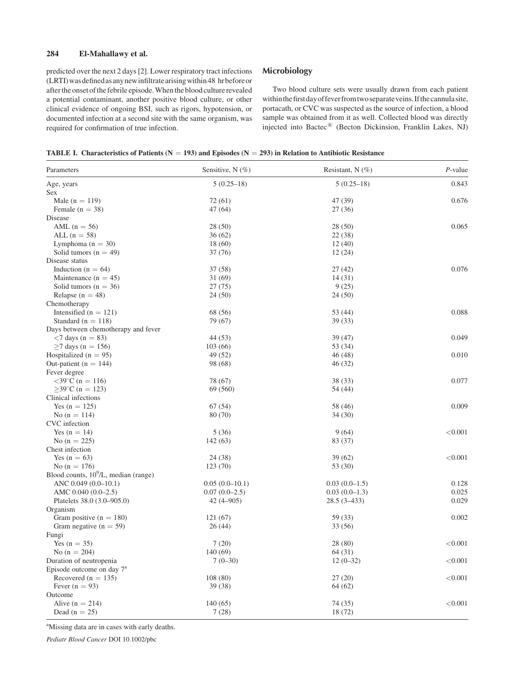## 284 El-Mahallawy et al.

predicted over the next 2 days [2]. Lower respiratory tract infections (LRTI)was definedasanynewinfiltratearisingwithin 48 hr before or after the onset of the febrile episode. When the blood culture revealed a potential contaminant, another positive blood culture, or other clinical evidence of ongoing BSI, such as rigors, hypotension, or documented infection at a second site with the same organism, was required for confirmation of true infection.

## Microbiology

Two blood culture sets were usually drawn from each patient within the first day of fever from two separate veins. If the cannula site, portacath, or CVC was suspected as the source of infection, a blood sample was obtained from it as well. Collected blood was directly injected into Bactec® (Becton Dickinsion, Franklin Lakes, NJ)

|  | TABLE I. Characteristics of Patients ( $N = 193$ ) and Episodes ( $N = 293$ ) in Relation to Antibiotic Resistance |  |  |  |  |  |  |
|--|--------------------------------------------------------------------------------------------------------------------|--|--|--|--|--|--|
|--|--------------------------------------------------------------------------------------------------------------------|--|--|--|--|--|--|

| Parameters                              | Sensitive, $N(\%)$ | Resistant, $N$ (%) | $P$ -value |
|-----------------------------------------|--------------------|--------------------|------------|
| Age, years                              | $5(0.25-18)$       | $5(0.25-18)$       | 0.843      |
| Sex                                     |                    |                    |            |
| Male ( $n = 119$ )                      | 72(61)             | 47 (39)            | 0.676      |
| Female $(n = 38)$                       | 47(64)             | 27(36)             |            |
| Disease                                 |                    |                    |            |
| AML $(n = 56)$                          | 28 (50)            | 28(50)             | 0.065      |
| ALL $(n = 58)$                          | 36(62)             | 22(38)             |            |
| Lymphoma ( $n = 30$ )                   | 18(60)             | 12(40)             |            |
| Solid tumors ( $n = 49$ )               | 37 (76)            | 12(24)             |            |
| Disease status                          |                    |                    |            |
| Induction ( $n = 64$ )                  | 37 (58)            | 27(42)             | 0.076      |
| Maintenance $(n = 45)$                  | 31(69)             | 14(31)             |            |
| Solid tumors ( $n = 36$ )               | 27(75)             | 9(25)              |            |
| Relapse ( $n = 48$ )                    | 24 (50)            | 24(50)             |            |
| Chemotherapy                            |                    |                    |            |
| Intensified ( $n = 121$ )               | 68 (56)            | 53 (44)            | 0.088      |
| Standard ( $n = 118$ )                  | 79 (67)            | 39 (33)            |            |
| Days between chemotherapy and fever     |                    |                    |            |
| $<$ 7 days (n = 83)                     | 44 (53)            | 39(47)             | 0.049      |
| $\geq$ 7 days (n = 156)                 | 103(66)            | 53 (34)            |            |
| Hospitalized ( $n = 95$ )               | 49 (52)            | 46(48)             | 0.010      |
| Out-patient ( $n = 144$ )               | 98 (68)            | 46 (32)            |            |
| Fever degree                            |                    |                    |            |
| $<39^{\circ}$ C (n = 116)               | 78 (67)            | 38 (33)            | 0.077      |
| $>39^{\circ}$ C (n = 123)               | 69 (560)           | 54 (44)            |            |
| Clinical infections                     |                    |                    |            |
| Yes $(n = 125)$                         | 67 (54)            | 58 (46)            | 0.009      |
| No $(n = 114)$                          | 80 (70)            | 34(30)             |            |
| CVC infection                           |                    |                    |            |
| Yes $(n = 14)$                          | 5(36)              | 9(64)              | < 0.001    |
| No $(n = 225)$                          | 142 (63)           | 83 (37)            |            |
| Chest infection                         |                    |                    |            |
| Yes ( $n = 63$ )                        | 24 (38)            | 39(62)             | < 0.001    |
| No $(n = 176)$                          | 123 (70)           | 53 (30)            |            |
| Blood counts, $10^9$ /L, median (range) |                    |                    |            |
| ANC $0.049(0.0-10.1)$                   | $0.05(0.0-10.1)$   | $0.03(0.0-1.5)$    | 0.128      |
| AMC 0.040 (0.0-2.5)                     | $0.07(0.0-2.5)$    | $0.03(0.0-1.3)$    | 0.025      |
| Platelets 38.0 (3.0–905.0)              | $42(4 - 905)$      | $28.5(3 - 433)$    | 0.029      |
| Organism                                |                    |                    |            |
| Gram positive ( $n = 180$ )             | 121 (67)           | 59 (33)            | 0.002      |
| Gram negative ( $n = 59$ )              | 26(44)             | 33 (56)            |            |
| Fungi                                   |                    |                    |            |
| Yes $(n = 35)$                          | 7(20)              | 28 (80)            | < 0.001    |
| No $(n = 204)$                          | 140 (69)           | 64(31)             |            |
| Duration of neutropenia                 | $7(0-30)$          | $12(0-32)$         | < 0.001    |
| Episode outcome on day 7 <sup>a</sup>   |                    |                    |            |
|                                         |                    |                    |            |
| Recovered ( $n = 135$ )                 | 108 (80)           | 27(20)             | < 0.001    |
| Fever $(n = 93)$<br>Outcome             | 39 (38)            | 64 (62)            |            |
|                                         | 140(65)            | 74(35)             | < 0.001    |
| Alive $(n = 214)$                       |                    |                    |            |
| Dead ( $n = 25$ )                       | 7(28)              | 18(72)             |            |

<sup>a</sup>Missing data are in cases with early deaths.

Pediatr Blood Cancer DOI 10.1002/pbc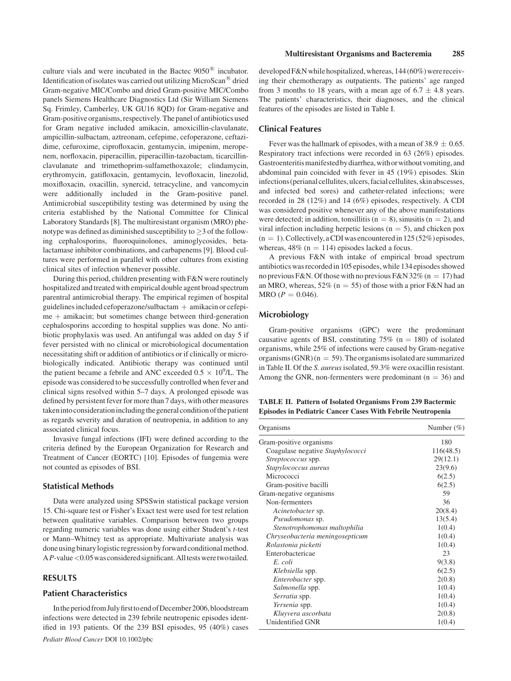culture vials and were incubated in the Bactec  $9050^{\circ}$  incubator. Identification of isolates was carried out utilizing MicroScan<sup>®</sup> dried Gram-negative MIC/Combo and dried Gram-positive MIC/Combo panels Siemens Healthcare Diagnostics Ltd (Sir William Siemens Sq. Frimley, Camberley, UK GU16 8QD) for Gram-negative and Gram-positive organisms, respectively. The panel of antibiotics used for Gram negative included amikacin, amoxicillin-clavulanate, ampicillin-sulbactam, aztreonam, cefepime, cefoperazone, ceftazidime, cefuroxime, ciprofloxacin, gentamycin, imipenim, meropenem, norfloxacin, piperacillin, piperacillin-tazobactam, ticarcillinclavulanate and trimethoprim-sulfamethoxazole; clindamycin, erythromycin, gatifloxacin, gentamycin, levofloxacin, linezolid, moxifloxacin, oxacillin, synercid, tetracycline, and vancomycin were additionally included in the Gram-positive panel. Antimicrobial susceptibility testing was determined by using the criteria established by the National Committee for Clinical Laboratory Standards [8]. The multiresistant organism (MRO) phenotype was defined as diminished susceptibility to  $>$ 3 of the following cephalosporins, fluoroquinolones, aminoglycosides, betalactamase inhibitor combinations, and carbapenems [9]. Blood cultures were performed in parallel with other cultures from existing clinical sites of infection whenever possible.

During this period, children presenting with F&N were routinely hospitalized and treated with empirical double agent broad spectrum parentral antimicrobial therapy. The empirical regimen of hospital guidelines included cefoperazone/sulbactam  $+$  amikacin or cefepi $me + amikacin$ ; but sometimes change between third-generation cephalosporins according to hospital supplies was done. No antibiotic prophylaxis was used. An antifungal was added on day 5 if fever persisted with no clinical or microbiological documentation necessitating shift or addition of antibiotics or if clinically or microbiologically indicated. Antibiotic therapy was continued until the patient became a febrile and ANC exceeded  $0.5 \times 10^9$ /L. The episode was considered to be successfully controlled when fever and clinical signs resolved within 5–7 days. A prolonged episode was defined by persistent fever for more than 7 days, with other measures taken into consideration including the general condition of the patient as regards severity and duration of neutropenia, in addition to any associated clinical focus.

Invasive fungal infections (IFI) were defined according to the criteria defined by the European Organization for Research and Treatment of Cancer (EORTC) [10]. Episodes of fungemia were not counted as episodes of BSI.

## Statistical Methods

Data were analyzed using SPSSwin statistical package version 15. Chi-square test or Fisher's Exact test were used for test relation between qualitative variables. Comparison between two groups regarding numeric variables was done using either Student's t-test or Mann–Whitney test as appropriate. Multivariate analysis was done using binary logistic regression by forward conditional method. AP-value <0.05 was considered significant. All tests were two tailed.

#### RESULTS

#### Patient Characteristics

In the period from July first to end of December 2006, bloodstream infections were detected in 239 febrile neutropenic episodes identified in 193 patients. Of the 239 BSI episodes, 95 (40%) cases Pediatr Blood Cancer DOI 10.1002/pbc

developed F&N while hospitalized, whereas, 144 (60%) were receiving their chemotherapy as outpatients. The patients' age ranged from 3 months to 18 years, with a mean age of  $6.7 \pm 4.8$  years. The patients' characteristics, their diagnoses, and the clinical features of the episodes are listed in Table I.

#### Clinical Features

Fever was the hallmark of episodes, with a mean of 38.9  $\pm$  0.65. Respiratory tract infections were recorded in 63 (26%) episodes. Gastroenteritis manifested by diarrhea, with or without vomiting, and abdominal pain coincided with fever in 45 (19%) episodes. Skin infections (perianal cellulites, ulcers, facial cellulites, skin abscesses, and infected bed sores) and catheter-related infections; were recorded in 28 (12%) and 14 (6%) episodes, respectively. A CDI was considered positive whenever any of the above manifestations were detected; in addition, tonsillitis ( $n = 8$ ), sinusitis ( $n = 2$ ), and viral infection including herpetic lesions ( $n = 5$ ), and chicken pox  $(n = 1)$ . Collectively, a CDI was encountered in 125 (52%) episodes, whereas,  $48\%$  (n = 114) episodes lacked a focus.

A previous F&N with intake of empirical broad spectrum antibiotics was recorded in 105 episodes, while 134 episodes showed no previous F&N. Of those with no previous F&N 32% (n = 17) had an MRO, whereas,  $52\%$  (n = 55) of those with a prior F&N had an  $MRO (P = 0.046).$ 

## Microbiology

Gram-positive organisms (GPC) were the predominant causative agents of BSI, constituting  $75\%$  (n = 180) of isolated organisms, while 25% of infections were caused by Gram-negative organisms (GNR) ( $n = 59$ ). The organisms isolated are summarized in Table II. Of the S. aureus isolated, 59.3% were oxacillin resistant. Among the GNR, non-fermenters were predominant ( $n = 36$ ) and

TABLE II. Pattern of Isolated Organisms From 239 Bactermic Episodes in Pediatric Cancer Cases With Febrile Neutropenia

| Organisms                        | Number $(\%)$ |
|----------------------------------|---------------|
| Gram-positive organisms          | 180           |
| Coagulase negative Staphylococci | 116(48.5)     |
| <i>Streptococcus</i> spp.        | 29(12.1)      |
| Stapylococcus aureus             | 23(9.6)       |
| Micrococci                       | 6(2.5)        |
| Gram-positive bacilli            | 6(2.5)        |
| Gram-negative organisms          | 59            |
| Non-fermenters                   | 36            |
| Acinetobacter sp.                | 20(8.4)       |
| Pseudomonas sp.                  | 13(5.4)       |
| Stenotrophomonas maltophilia     | 1(0.4)        |
| Chryseobacteria meningosepticum  | 1(0.4)        |
| Rolastonia picketti              | 1(0.4)        |
| Enterobactericae                 | 23            |
| E. coli                          | 9(3.8)        |
| Klebsiella spp.                  | 6(2.5)        |
| Enterobacter spp.                | 2(0.8)        |
| Salmonella spp.                  | 1(0.4)        |
| Serratia spp.                    | 1(0.4)        |
| Yersenia spp.                    | 1(0.4)        |
| Kluyvera ascorbata               | 2(0.8)        |
| Unidentified GNR                 | 1(0.4)        |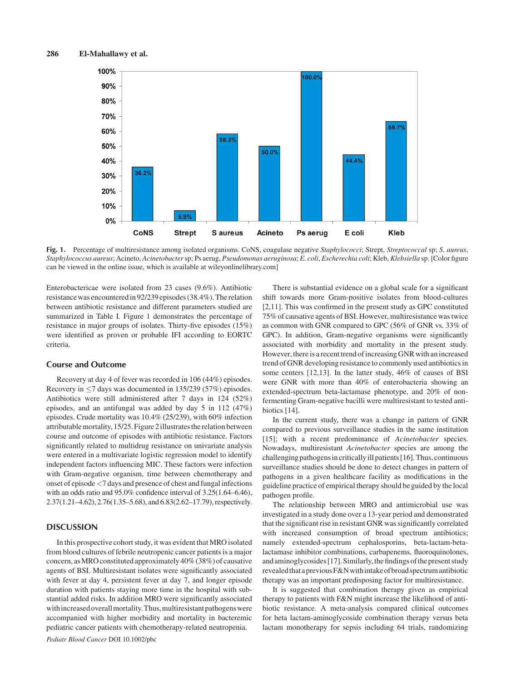

Fig. 1. Percentage of multiresistance among isolated organisms. CoNS, coagulase negative Staphylococci; Strept, Streptococcal sp; S. aureus, Staphylococcus aureus; Acineto, Acinetobacter sp; Ps aerug, Pseudomonas aeruginosa; E. coli, Escherechia coli; Kleb, Klebsiella sp. [Color figure can be viewed in the online issue, which is available at wileyonlinelibrary.com]

Enterobactericae were isolated from 23 cases (9.6%). Antibiotic resistance was encountered in 92/239 episodes (38.4%). The relation between antibiotic resistance and different parameters studied are summarized in Table I. Figure 1 demonstrates the percentage of resistance in major groups of isolates. Thirty-five episodes (15%) were identified as proven or probable IFI according to EORTC criteria.

#### Course and Outcome

Recovery at day 4 of fever was recorded in 106 (44%) episodes. Recovery in  $\leq$ 7 days was documented in 135/239 (57%) episodes. Antibiotics were still administered after 7 days in 124 (52%) episodes, and an antifungal was added by day 5 in 112 (47%) episodes. Crude mortality was 10.4% (25/239), with 60% infection attributablemortality, 15/25. Figure 2illustratesthe relation between course and outcome of episodes with antibiotic resistance. Factors significantly related to multidrug resistance on univariate analysis were entered in a multivariate logistic regression model to identify independent factors influencing MIC. These factors were infection with Gram-negative organism, time between chemotherapy and onset of episode <7 days and presence of chest and fungal infections with an odds ratio and 95.0% confidence interval of 3.25(1.64–6.46), 2.37(1.21–4.62), 2.76(1.35–5.68), and 6.83(2.62–17.79), respectively.

### **DISCUSSION**

In this prospective cohort study, it was evident that MRO isolated from blood cultures of febrile neutropenic cancer patients is a major concern, asMRO constituted approximately 40% (38%) of causative agents of BSI. Multiresistant isolates were significantly associated with fever at day 4, persistent fever at day 7, and longer episode duration with patients staying more time in the hospital with substantial added risks. In addition MRO were significantly associated with increased overall mortality. Thus, multiresistant pathogens were accompanied with higher morbidity and mortality in bacteremic pediatric cancer patients with chemotherapy-related neutropenia. Pediatr Blood Cancer DOI 10.1002/pbc

shift towards more Gram-positive isolates from blood-cultures [2,11]. This was confirmed in the present study as GPC constituted 75% of causative agents of BSI. However, multiresistance was twice as common with GNR compared to GPC (56% of GNR vs. 33% of GPC). In addition, Gram-negative organisms were significantly associated with morbidity and mortality in the present study. However, there is a recent trend ofincreasing GNR with an increased trend of GNR developing resistance to commonly used antibiotics in some centers [12,13]. In the latter study, 46% of causes of BSI were GNR with more than 40% of enterobacteria showing an extended-spectrum beta-lactamase phenotype, and 20% of nonfermenting Gram-negative bacilli were multiresistant to tested antibiotics [14].

There is substantial evidence on a global scale for a significant

In the current study, there was a change in pattern of GNR compared to previous surveillance studies in the same institution [15]; with a recent predominance of Acinetobacter species. Nowadays, multiresistant Acinetobacter species are among the challenging pathogensin criticallyill patients [16]. Thus, continuous surveillance studies should be done to detect changes in pattern of pathogens in a given healthcare facility as modifications in the guideline practice of empirical therapy should be guided by the local pathogen profile.

The relationship between MRO and antimicrobial use was investigated in a study done over a 13-year period and demonstrated that the significant rise in resistant GNR was significantly correlated with increased consumption of broad spectrum antibiotics; namely extended-spectrum cephalosporins, beta-lactam-betalactamase inhibitor combinations, carbapenems, fluoroquinolones, and aminoglycosides [17]. Similarly, the findings of the present study revealedthata previousF&Nwithintake of broad spectrumantibiotic therapy was an important predisposing factor for multiresistance.

It is suggested that combination therapy given as empirical therapy to patients with F&N might increase the likelihood of antibiotic resistance. A meta-analysis compared clinical outcomes for beta lactam-aminoglycoside combination therapy versus beta lactam monotherapy for sepsis including 64 trials, randomizing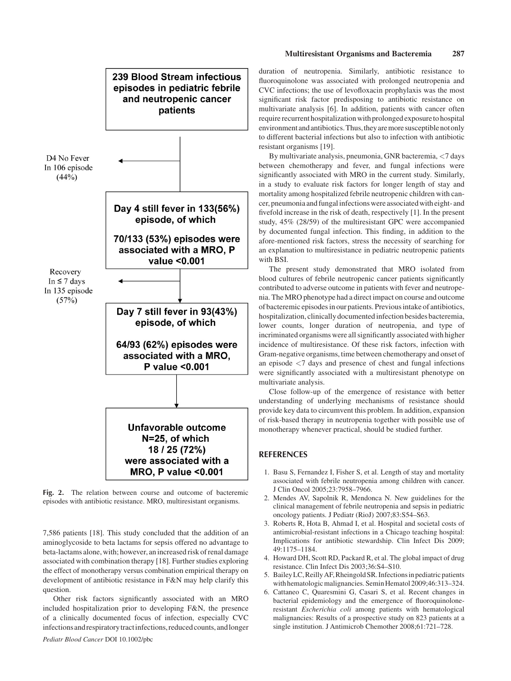

Fig. 2. The relation between course and outcome of bacteremic episodes with antibiotic resistance. MRO, multiresistant organisms.

7,586 patients [18]. This study concluded that the addition of an aminoglycoside to beta lactams for sepsis offered no advantage to beta-lactams alone, with; however, an increased risk of renal damage associated with combination therapy [18]. Further studies exploring the effect of monotherapy versus combination empirical therapy on development of antibiotic resistance in F&N may help clarify this question.

Other risk factors significantly associated with an MRO included hospitalization prior to developing F&N, the presence of a clinically documented focus of infection, especially CVC infections and respiratory tract infections, reduced counts, and longer Pediatr Blood Cancer DOI 10.1002/pbc

duration of neutropenia. Similarly, antibiotic resistance to fluoroquinolone was associated with prolonged neutropenia and CVC infections; the use of levofloxacin prophylaxis was the most significant risk factor predisposing to antibiotic resistance on multivariate analysis [6]. In addition, patients with cancer often require recurrent hospitalization with prolonged exposureto hospital environment and antibiotics. Thus, they are more susceptible not only to different bacterial infections but also to infection with antibiotic resistant organisms [19].

By multivariate analysis, pneumonia, GNR bacteremia, <7 days between chemotherapy and fever, and fungal infections were significantly associated with MRO in the current study. Similarly, in a study to evaluate risk factors for longer length of stay and mortality among hospitalized febrile neutropenic children with cancer, pneumonia and fungalinfections were associated with eight- and fivefold increase in the risk of death, respectively [1]. In the present study, 45% (28/59) of the multiresistant GPC were accompanied by documented fungal infection. This finding, in addition to the afore-mentioned risk factors, stress the necessity of searching for an explanation to multiresistance in pediatric neutropenic patients with BSI.

The present study demonstrated that MRO isolated from blood cultures of febrile neutropenic cancer patients significantly contributed to adverse outcome in patients with fever and neutropenia. The MRO phenotype had a direct impact on course and outcome of bacteremic episodes in our patients. Previous intake of antibiotics, hospitalization, clinically documented infection besides bacteremia, lower counts, longer duration of neutropenia, and type of incriminated organisms were all significantly associated with higher incidence of multiresistance. Of these risk factors, infection with Gram-negative organisms, time between chemotherapy and onset of an episode <7 days and presence of chest and fungal infections were significantly associated with a multiresistant phenotype on multivariate analysis.

Close follow-up of the emergence of resistance with better understanding of underlying mechanisms of resistance should provide key data to circumvent this problem. In addition, expansion of risk-based therapy in neutropenia together with possible use of monotherapy whenever practical, should be studied further.

## **REFERENCES**

- 1. Basu S, Fernandez I, Fisher S, et al. Length of stay and mortality associated with febrile neutropenia among children with cancer. J Clin Oncol 2005;23:7958–7966.
- 2. Mendes AV, Sapolnik R, Mendonca N. New guidelines for the clinical management of febrile neutropenia and sepsis in pediatric oncology patients. J Pediatr (RioJ) 2007;83:S54–S63.
- 3. Roberts R, Hota B, Ahmad I, et al. Hospital and societal costs of antimicrobial-resistant infections in a Chicago teaching hospital: Implications for antibiotic stewardship. Clin Infect Dis 2009; 49:1175–1184.
- 4. Howard DH, Scott RD, Packard R, et al. The global impact of drug resistance. Clin Infect Dis 2003;36:S4–S10.
- 5. BaileyLC,Reilly AF,Rheingold SR. Infectionsin pediatric patients with hematologic malignancies. Semin Hematol 2009;46:313-324.
- 6. Cattaneo C, Quaresmini G, Casari S, et al. Recent changes in bacterial epidemiology and the emergence of fluoroquinoloneresistant Escherichia coli among patients with hematological malignancies: Results of a prospective study on 823 patients at a single institution. J Antimicrob Chemother 2008;61:721–728.